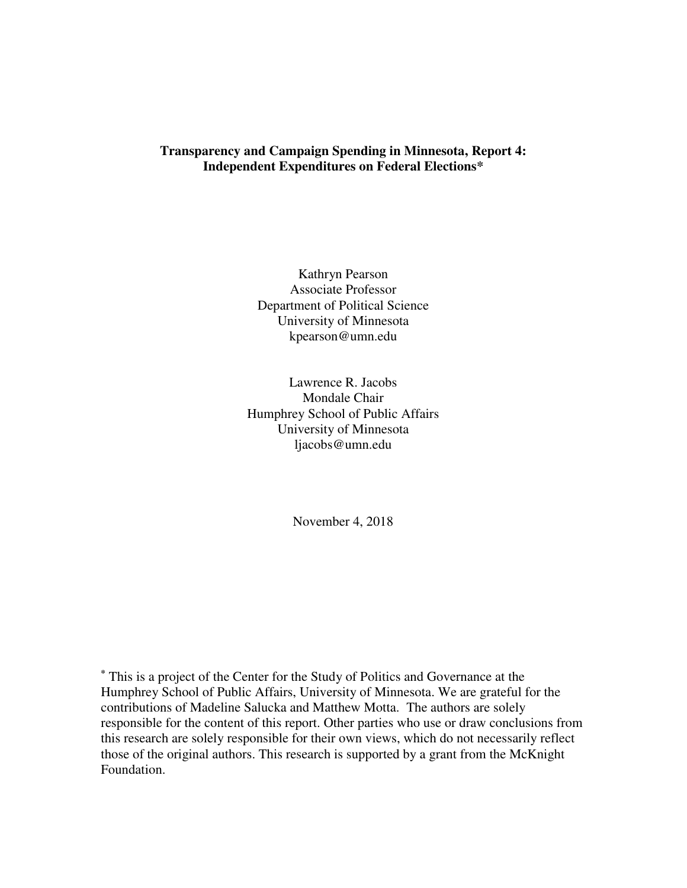## **Transparency and Campaign Spending in Minnesota, Report 4: Independent Expenditures on Federal Elections\***

Kathryn Pearson Associate Professor Department of Political Science University of Minnesota kpearson@umn.edu

Lawrence R. Jacobs Mondale Chair Humphrey School of Public Affairs University of Minnesota ljacobs@umn.edu

November 4, 2018

**\*** This is a project of the Center for the Study of Politics and Governance at the Humphrey School of Public Affairs, University of Minnesota. We are grateful for the contributions of Madeline Salucka and Matthew Motta. The authors are solely responsible for the content of this report. Other parties who use or draw conclusions from this research are solely responsible for their own views, which do not necessarily reflect those of the original authors. This research is supported by a grant from the McKnight Foundation.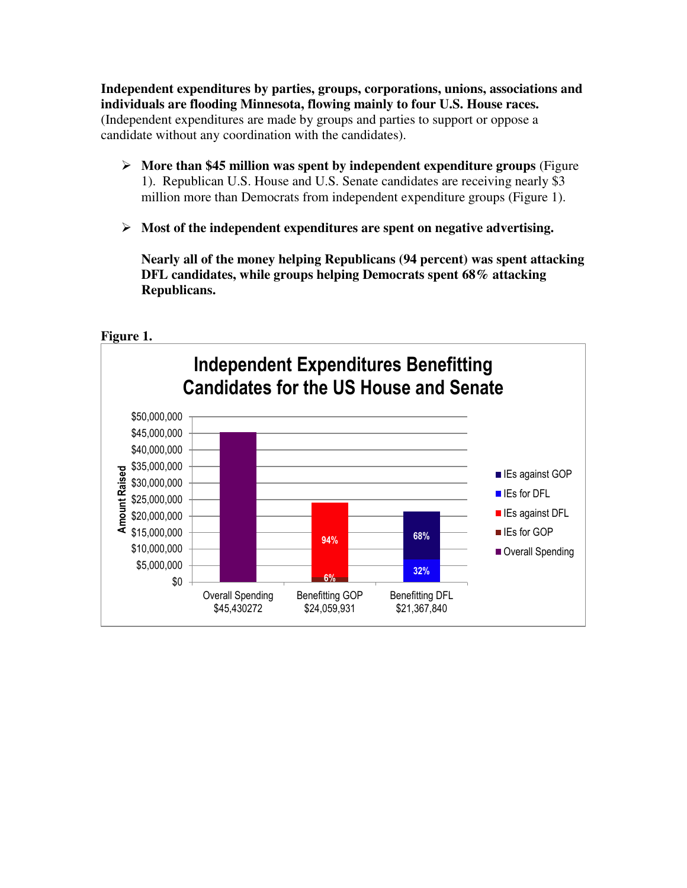**Independent expenditures by parties, groups, corporations, unions, associations and individuals are flooding Minnesota, flowing mainly to four U.S. House races.** (Independent expenditures are made by groups and parties to support or oppose a candidate without any coordination with the candidates).

- **More than \$45 million was spent by independent expenditure groups** (Figure 1). Republican U.S. House and U.S. Senate candidates are receiving nearly \$3 million more than Democrats from independent expenditure groups (Figure 1).
- **Most of the independent expenditures are spent on negative advertising.**

**Nearly all of the money helping Republicans (94 percent) was spent attacking DFL candidates, while groups helping Democrats spent 68% attacking Republicans.**